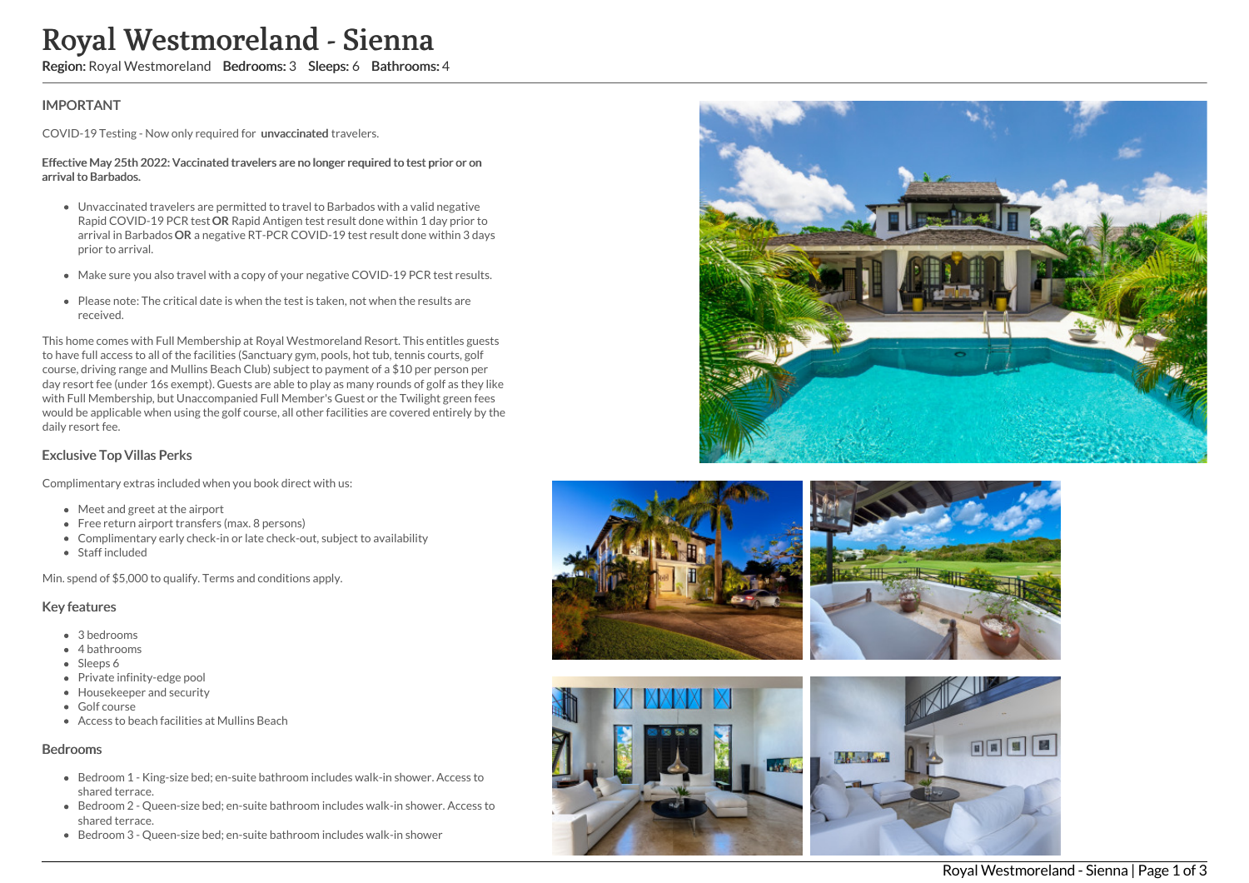# Royal Westmoreland - Sienna

Region: Royal Westmoreland Bedrooms: 3 Sleeps: 6 Bathrooms: 4

# IMPORTANT

COVID-19 Testing - Now only required for unvaccinated travelers.

#### Effective May 25th 2022: Vaccinated travelers are no longer required to test prior or on arrival to Barbados.

- Unvaccinated travelers are permitted to travel to Barbados with a valid negative Rapid COVID-19 PCR test OR Rapid Antigen test result done within 1 day prior to arrival in Barbados OR a negative RT-PCR COVID-19 test result done within 3 days prior to arrival.
- Make sure you also travel with a copy of your negative COVID-19 PCR test results.
- Please note: The critical date is when the test is taken, not when the results are received.

This home comes with Full Membership at Royal Westmoreland Resort. This entitles guests to have full access to all of the facilities (Sanctuary gym, pools, hot tub, tennis courts, golf course, driving range and Mullins Beach Club) subject to payment of a \$10 per person per day resort fee (under 16s exempt). Guests are able to play as many rounds of golf as they like with Full Membership, but Unaccompanied Full Member's Guest or the Twilight green fees would be applicable when using the golf course, all other facilities are covered entirely by the daily resort fee.

# Exclusive Top Villas Perks

Complimentary extras included when you book direct with us:

- Meet and greet at the airport
- Free return airport transfers (max. 8 persons)
- Complimentary early check-in or late check-out, subject to availability
- Staff included

Min. spend of \$5,000 to qualify. Terms and conditions apply.

### Key features

- 3 bedrooms
- 4 bathrooms
- Sleeps 6
- Private infinity-edge pool
- Housekeeper and security
- Golf course
- Access to beach facilities at Mullins Beach

## Bedrooms

- Bedroom 1 King-size bed; en-suite bathroom includes walk-in shower. Access to shared terrace.
- Bedroom 2 Queen-size bed; en-suite bathroom includes walk-in shower. Access to shared terrace.
- Bedroom 3 Queen-size bed; en-suite bathroom includes walk-in shower





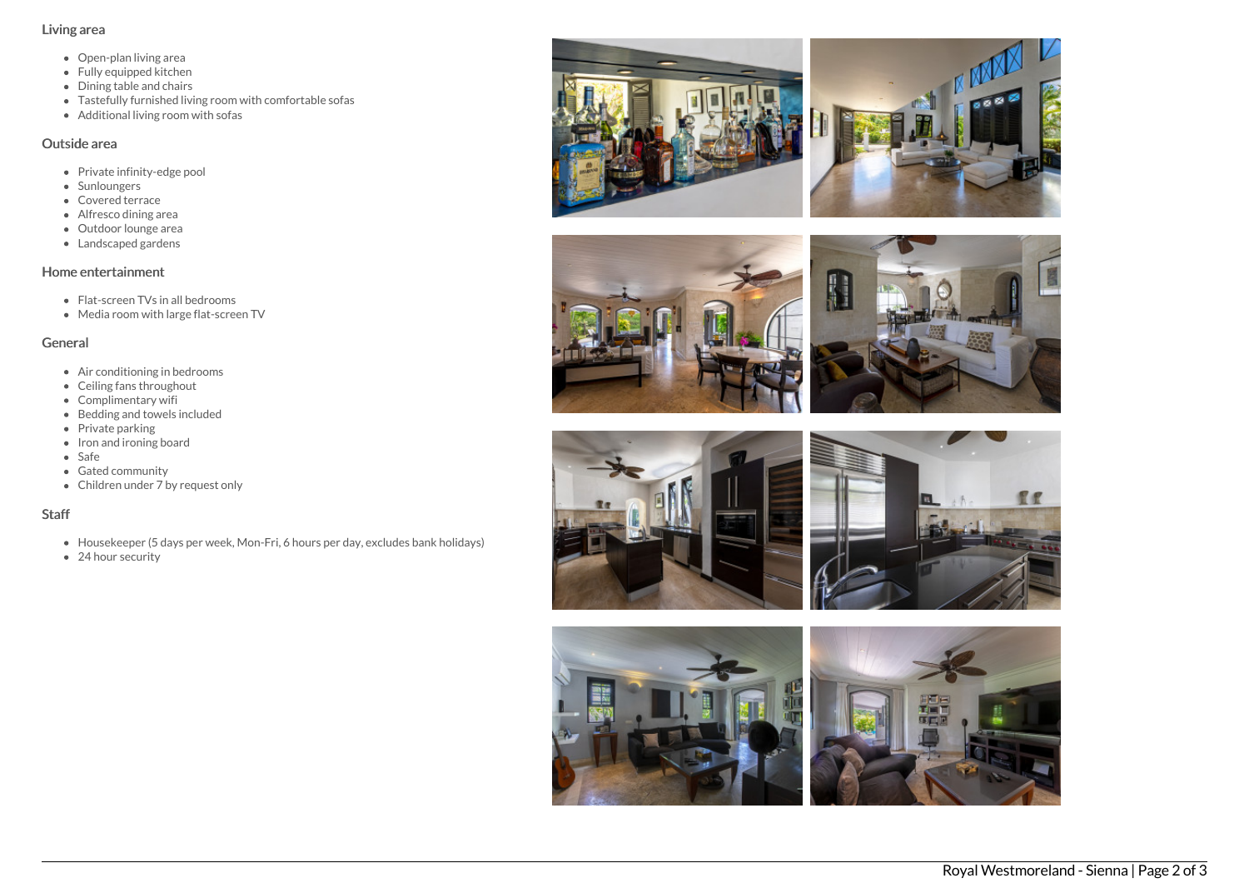# Living area

- Open-plan living area
- Fully equipped kitchen
- Dining table and chairs
- Tastefully furnished living room with comfortable sofas
- Additional living room with sofas

## Outside area

- Private infinity-edge pool
- Sunloungers
- Covered terrace
- Alfresco dining area
- Outdoor lounge area
- Landscaped gardens

# Home entertainment

- Flat-screen TVs in all bedrooms
- Media room with large flat-screen TV

# General

- Air conditioning in bedrooms
- Ceiling fans throughout
- Complimentary wifi
- Bedding and towels included
- Private parking
- Iron and ironing board
- Safe
- Gated community
- $\bullet$  Children under 7 by request only

# **Staff**

- Housekeeper (5 days per week, Mon-Fri, 6 hours per day, excludes bank holidays)
- 24 hour security